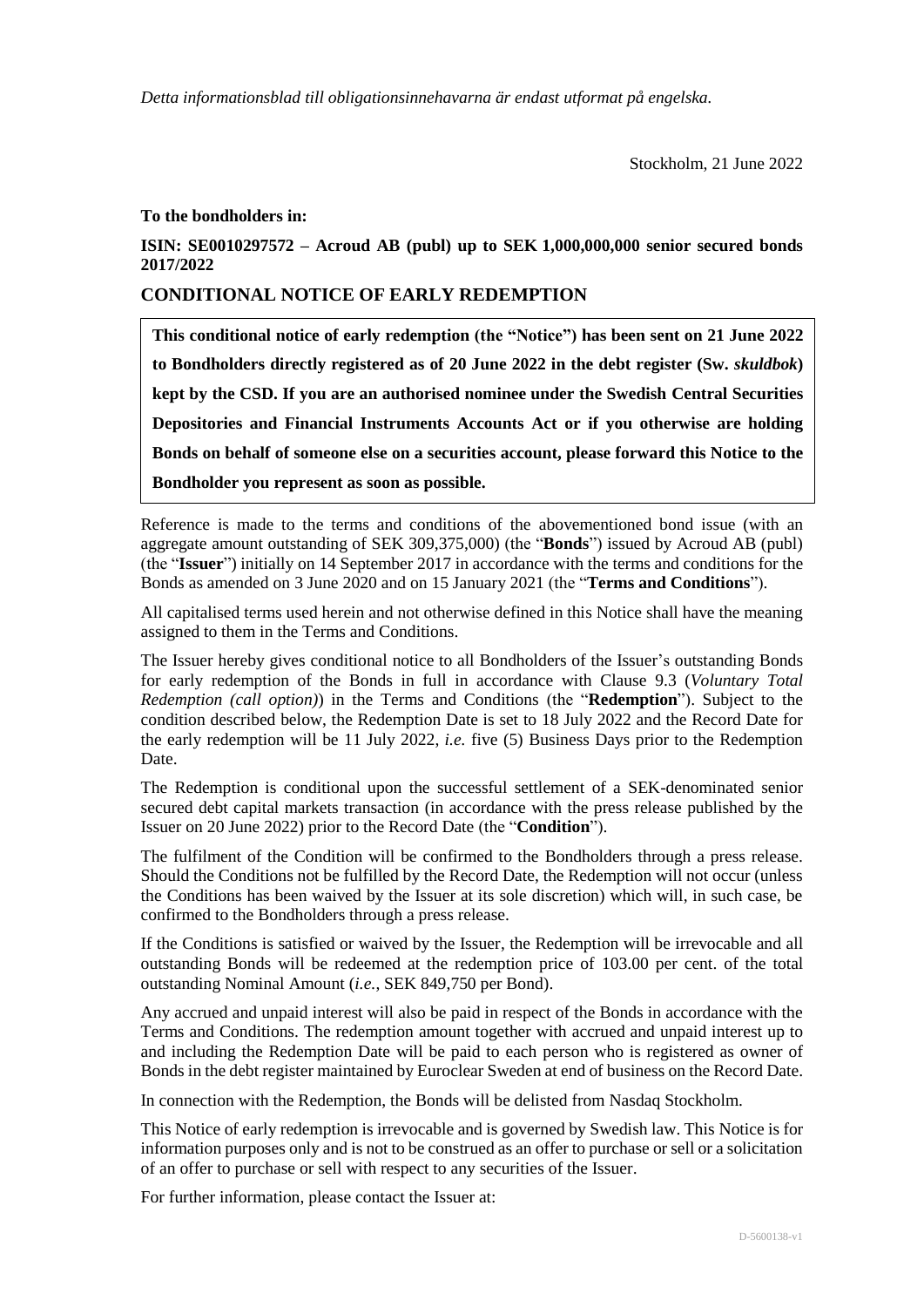*Detta informationsblad till obligationsinnehavarna är endast utformat på engelska.*

## **To the bondholders in:**

**ISIN: SE0010297572 – Acroud AB (publ) up to SEK 1,000,000,000 senior secured bonds 2017/2022**

## **CONDITIONAL NOTICE OF EARLY REDEMPTION**

**This conditional notice of early redemption (the "Notice") has been sent on 21 June 2022 to Bondholders directly registered as of 20 June 2022 in the debt register (Sw.** *skuldbok***) kept by the CSD. If you are an authorised nominee under the Swedish Central Securities Depositories and Financial Instruments Accounts Act or if you otherwise are holding Bonds on behalf of someone else on a securities account, please forward this Notice to the Bondholder you represent as soon as possible.**

Reference is made to the terms and conditions of the abovementioned bond issue (with an aggregate amount outstanding of SEK 309,375,000) (the "**Bonds**") issued by Acroud AB (publ) (the "**Issuer**") initially on 14 September 2017 in accordance with the terms and conditions for the Bonds as amended on 3 June 2020 and on 15 January 2021 (the "**Terms and Conditions**").

All capitalised terms used herein and not otherwise defined in this Notice shall have the meaning assigned to them in the Terms and Conditions.

The Issuer hereby gives conditional notice to all Bondholders of the Issuer's outstanding Bonds for early redemption of the Bonds in full in accordance with Clause 9.3 (*Voluntary Total Redemption (call option)*) in the Terms and Conditions (the "**Redemption**"). Subject to the condition described below, the Redemption Date is set to 18 July 2022 and the Record Date for the early redemption will be 11 July 2022, *i.e.* five (5) Business Days prior to the Redemption Date.

The Redemption is conditional upon the successful settlement of a SEK-denominated senior secured debt capital markets transaction (in accordance with the press release published by the Issuer on 20 June 2022) prior to the Record Date (the "**Condition**").

The fulfilment of the Condition will be confirmed to the Bondholders through a press release. Should the Conditions not be fulfilled by the Record Date, the Redemption will not occur (unless the Conditions has been waived by the Issuer at its sole discretion) which will, in such case, be confirmed to the Bondholders through a press release.

If the Conditions is satisfied or waived by the Issuer, the Redemption will be irrevocable and all outstanding Bonds will be redeemed at the redemption price of 103.00 per cent. of the total outstanding Nominal Amount (*i.e.*, SEK 849,750 per Bond).

Any accrued and unpaid interest will also be paid in respect of the Bonds in accordance with the Terms and Conditions. The redemption amount together with accrued and unpaid interest up to and including the Redemption Date will be paid to each person who is registered as owner of Bonds in the debt register maintained by Euroclear Sweden at end of business on the Record Date.

In connection with the Redemption, the Bonds will be delisted from Nasdaq Stockholm.

This Notice of early redemption is irrevocable and is governed by Swedish law. This Notice is for information purposes only and is not to be construed as an offer to purchase or sell or a solicitation of an offer to purchase or sell with respect to any securities of the Issuer.

For further information, please contact the Issuer at: